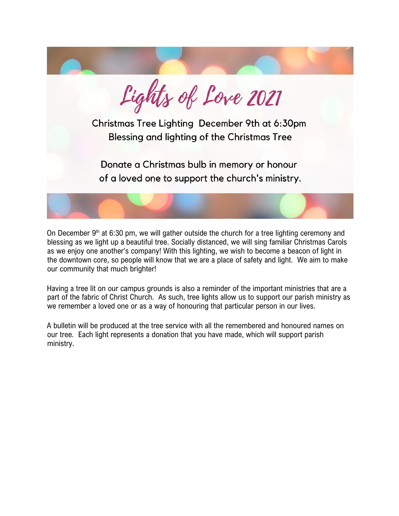

On December  $9<sup>th</sup>$  at 6:30 pm, we will gather outside the church for a tree lighting ceremony and blessing as we light up a beautiful tree. Socially distanced, we will sing familiar Christmas Carols as we enjoy one another's company! With this lighting, we wish to become a beacon of light in the downtown core, so people will know that we are a place of safety and light. We aim to make our community that much brighter!

Having a tree lit on our campus grounds is also a reminder of the important ministries that are a part of the fabric of Christ Church. As such, tree lights allow us to support our parish ministry as we remember a loved one or as a way of honouring that particular person in our lives.

A bulletin will be produced at the tree service with all the remembered and honoured names on our tree. Each light represents a donation that you have made, which will support parish ministry.